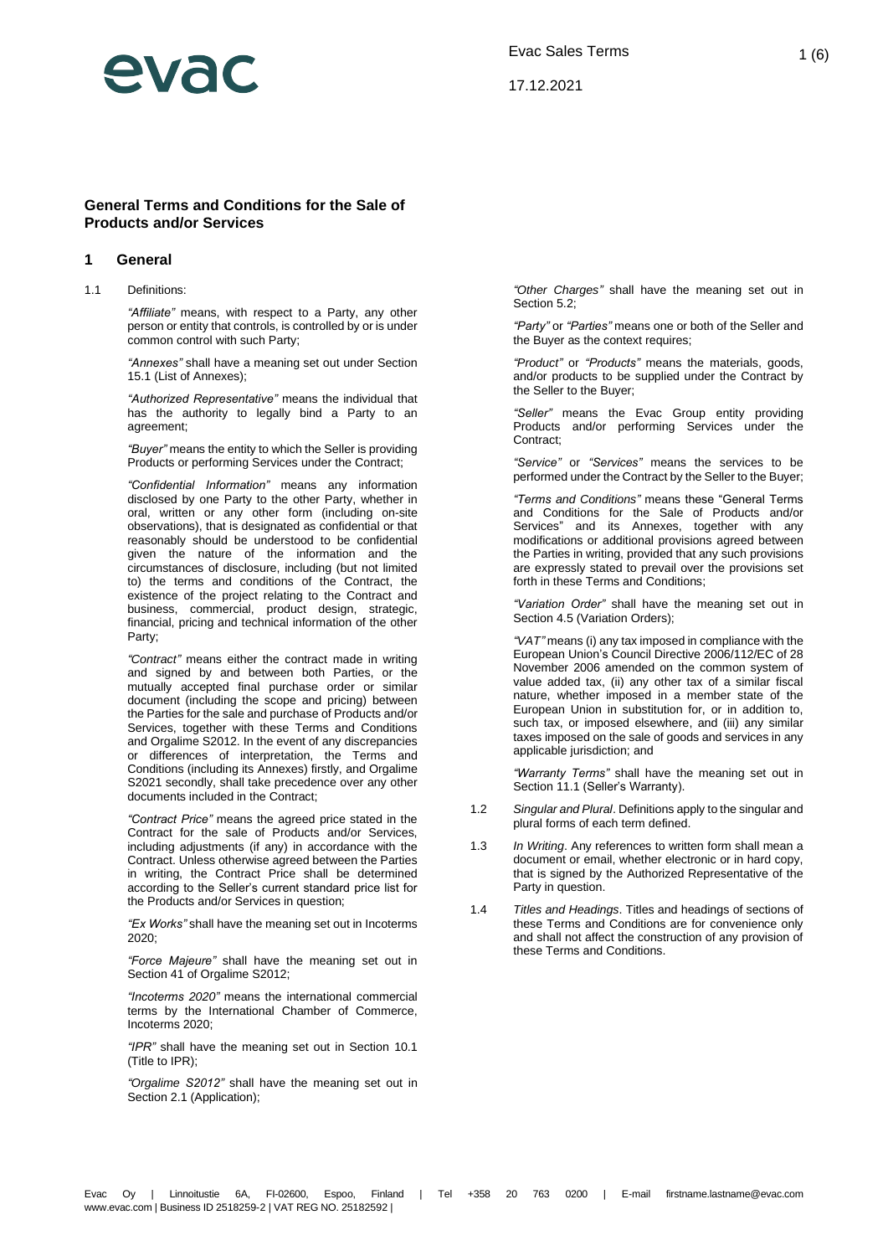

17.12.2021

### **General Terms and Conditions for the Sale of Products and/or Services**

#### **1 General**

1.1 Definitions:

*"Affiliate"* means, with respect to a Party, any other person or entity that controls, is controlled by or is under common control with such Party;

*"Annexes"* shall have a meaning set out under Section [15.1](#page-5-0) (List of Annexes);

*"Authorized Representative"* means the individual that has the authority to legally bind a Party to an agreement;

*"Buyer"* means the entity to which the Seller is providing Products or performing Services under the Contract;

*"Confidential Information"* means any information disclosed by one Party to the other Party, whether in oral, written or any other form (including on-site observations), that is designated as confidential or that reasonably should be understood to be confidential given the nature of the information and the circumstances of disclosure, including (but not limited to) the terms and conditions of the Contract, the existence of the project relating to the Contract and business, commercial, product design, strategic, financial, pricing and technical information of the other Party;

*"Contract"* means either the contract made in writing and signed by and between both Parties, or the mutually accepted final purchase order or similar document (including the scope and pricing) between the Parties for the sale and purchase of Products and/or Services, together with these Terms and Conditions and Orgalime S2012. In the event of any discrepancies or differences of interpretation, the Terms and Conditions (including its Annexes) firstly, and Orgalime S2021 secondly, shall take precedence over any other documents included in the Contract;

*"Contract Price"* means the agreed price stated in the Contract for the sale of Products and/or Services, including adjustments (if any) in accordance with the Contract. Unless otherwise agreed between the Parties in writing, the Contract Price shall be determined according to the Seller's current standard price list for the Products and/or Services in question;

*"Ex Works"* shall have the meaning set out in Incoterms 2020;

*"Force Majeure"* shall have the meaning set out in Section 41 of Orgalime S2012;

*"Incoterms 2020"* means the international commercial terms by the International Chamber of Commerce, Incoterms 2020;

*"IPR"* shall have the meaning set out in Section [10.1](#page-3-0) (Title to IPR);

*"Orgalime S2012"* shall have the meaning set out in Sectio[n 2.1](#page-1-0) (Application);

*"Other Charges"* shall have the meaning set out in Sectio[n 5.2;](#page-1-1)

*"Party"* or *"Parties"* means one or both of the Seller and the Buyer as the context requires;

*"Product"* or *"Products"* means the materials, goods, and/or products to be supplied under the Contract by the Seller to the Buyer;

*"Seller"* means the Evac Group entity providing Products and/or performing Services under the Contract;

*"Service"* or *"Services"* means the services to be performed under the Contract by the Seller to the Buyer;

*"Terms and Conditions"* means these "General Terms and Conditions for the Sale of Products and/or Services" and its Annexes, together with any modifications or additional provisions agreed between the Parties in writing, provided that any such provisions are expressly stated to prevail over the provisions set forth in these Terms and Conditions;

*"Variation Order"* shall have the meaning set out in Sectio[n 4.5](#page-1-2) (Variation Orders);

*"VAT"* means (i) any tax imposed in compliance with the European Union's Council Directive 2006/112/EC of 28 November 2006 amended on the common system of value added tax, (ii) any other tax of a similar fiscal nature, whether imposed in a member state of the European Union in substitution for, or in addition to, such tax, or imposed elsewhere, and (iii) any similar taxes imposed on the sale of goods and services in any applicable jurisdiction; and

*"Warranty Terms"* shall have the meaning set out in Sectio[n 11.1](#page-3-1) (Seller's Warranty).

- 1.2 *Singular and Plural*. Definitions apply to the singular and plural forms of each term defined.
- 1.3 *In Writing*. Any references to written form shall mean a document or email, whether electronic or in hard copy, that is signed by the Authorized Representative of the Party in question.
- 1.4 *Titles and Headings*. Titles and headings of sections of these Terms and Conditions are for convenience only and shall not affect the construction of any provision of these Terms and Conditions.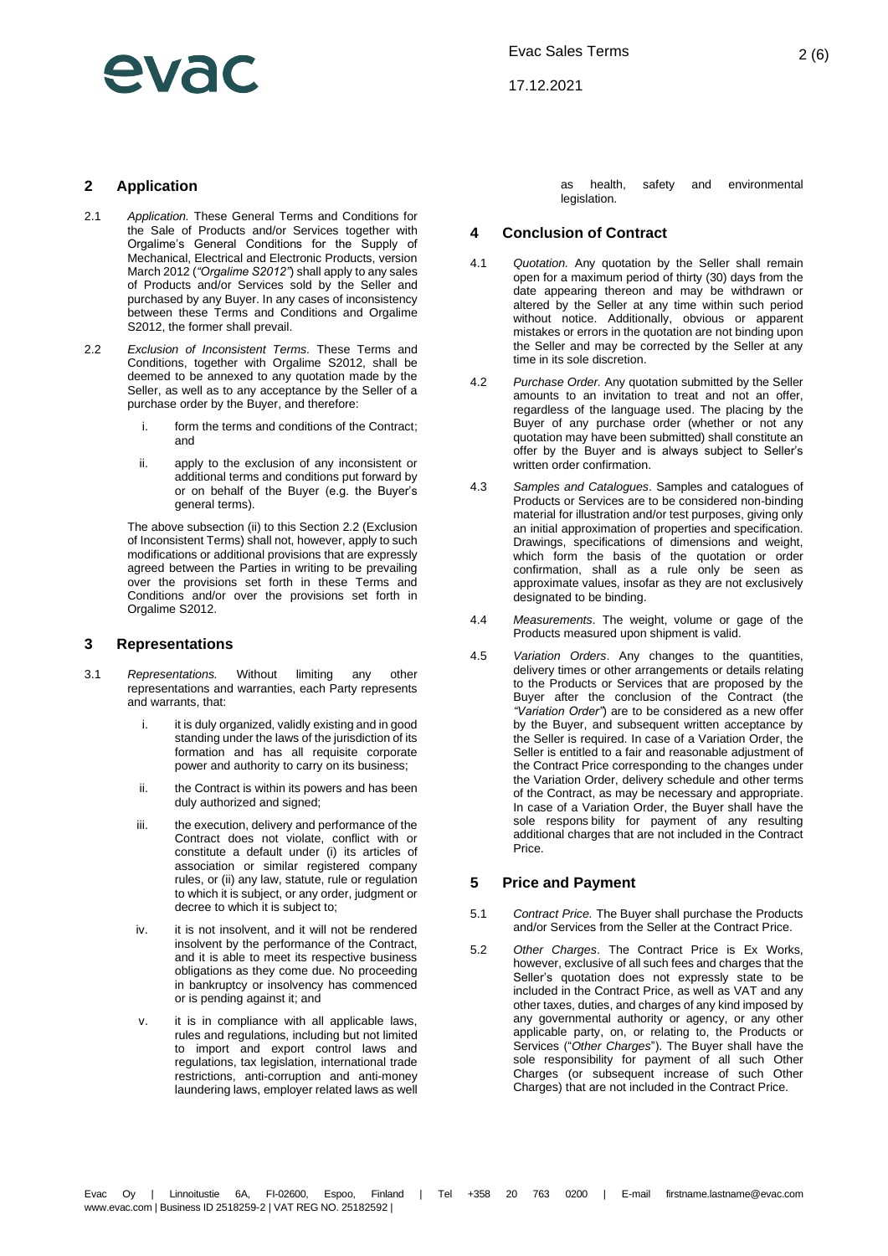# evar

17.12.2021

### **2 Application**

- <span id="page-1-0"></span>2.1 *Application.* These General Terms and Conditions for the Sale of Products and/or Services together with Orgalime's General Conditions for the Supply of Mechanical, Electrical and Electronic Products, version March 2012 (*"Orgalime S2012"*) shall apply to any sales of Products and/or Services sold by the Seller and purchased by any Buyer. In any cases of inconsistency between these Terms and Conditions and Orgalime S2012, the former shall prevail.
- <span id="page-1-4"></span>2.2 *Exclusion of Inconsistent Terms.* These Terms and Conditions, together with Orgalime S2012, shall be deemed to be annexed to any quotation made by the Seller, as well as to any acceptance by the Seller of a purchase order by the Buyer, and therefore:
	- i. form the terms and conditions of the Contract; and
	- ii. apply to the exclusion of any inconsistent or additional terms and conditions put forward by or on behalf of the Buyer (e.g. the Buyer's general terms).

<span id="page-1-3"></span>The above subsection [\(ii\)](#page-1-3) to this Sectio[n 2.2](#page-1-4) (Exclusion of Inconsistent Terms) shall not, however, apply to such modifications or additional provisions that are expressly agreed between the Parties in writing to be prevailing over the provisions set forth in these Terms and Conditions and/or over the provisions set forth in Orgalime S2012.

### **3 Representations**

- 3.1 *Representations.* Without limiting any other representations and warranties, each Party represents and warrants, that:
	- i. it is duly organized, validly existing and in good standing under the laws of the jurisdiction of its formation and has all requisite corporate power and authority to carry on its business;
	- ii. the Contract is within its powers and has been duly authorized and signed;
	- iii. the execution, delivery and performance of the Contract does not violate, conflict with or constitute a default under (i) its articles of association or similar registered company rules, or (ii) any law, statute, rule or regulation to which it is subject, or any order, judgment or decree to which it is subject to;
	- iv. it is not insolvent, and it will not be rendered insolvent by the performance of the Contract, and it is able to meet its respective business obligations as they come due. No proceeding in bankruptcy or insolvency has commenced or is pending against it; and
	- v. it is in compliance with all applicable laws, rules and regulations, including but not limited to import and export control laws and regulations, tax legislation, international trade restrictions, anti-corruption and anti-money laundering laws, employer related laws as well

as health, safety and environmental legislation.

### **4 Conclusion of Contract**

- 4.1 *Quotation.* Any quotation by the Seller shall remain open for a maximum period of thirty (30) days from the date appearing thereon and may be withdrawn or altered by the Seller at any time within such period without notice. Additionally, obvious or apparent mistakes or errors in the quotation are not binding upon the Seller and may be corrected by the Seller at any time in its sole discretion.
- 4.2 *Purchase Order.* Any quotation submitted by the Seller amounts to an invitation to treat and not an offer, regardless of the language used. The placing by the Buyer of any purchase order (whether or not any quotation may have been submitted) shall constitute an offer by the Buyer and is always subject to Seller's written order confirmation.
- 4.3 *Samples and Catalogues*. Samples and catalogues of Products or Services are to be considered non-binding material for illustration and/or test purposes, giving only an initial approximation of properties and specification. Drawings, specifications of dimensions and weight, which form the basis of the quotation or order confirmation, shall as a rule only be seen as approximate values, insofar as they are not exclusively designated to be binding.
- 4.4 *Measurements*. The weight, volume or gage of the Products measured upon shipment is valid.
- <span id="page-1-2"></span>4.5 *Variation Orders*. Any changes to the quantities, delivery times or other arrangements or details relating to the Products or Services that are proposed by the Buyer after the conclusion of the Contract (the *"Variation Order"*) are to be considered as a new offer by the Buyer, and subsequent written acceptance by the Seller is required. In case of a Variation Order, the Seller is entitled to a fair and reasonable adjustment of the Contract Price corresponding to the changes under the Variation Order, delivery schedule and other terms of the Contract, as may be necessary and appropriate. In case of a Variation Order, the Buyer shall have the sole respons bility for payment of any resulting additional charges that are not included in the Contract Price.

### **5 Price and Payment**

- 5.1 *Contract Price.* The Buyer shall purchase the Products and/or Services from the Seller at the Contract Price.
- <span id="page-1-1"></span>5.2 *Other Charges*. The Contract Price is Ex Works, however, exclusive of all such fees and charges that the Seller's quotation does not expressly state to be included in the Contract Price, as well as VAT and any other taxes, duties, and charges of any kind imposed by any governmental authority or agency, or any other applicable party, on, or relating to, the Products or Services ("*Other Charges*"). The Buyer shall have the sole responsibility for payment of all such Other Charges (or subsequent increase of such Other Charges) that are not included in the Contract Price.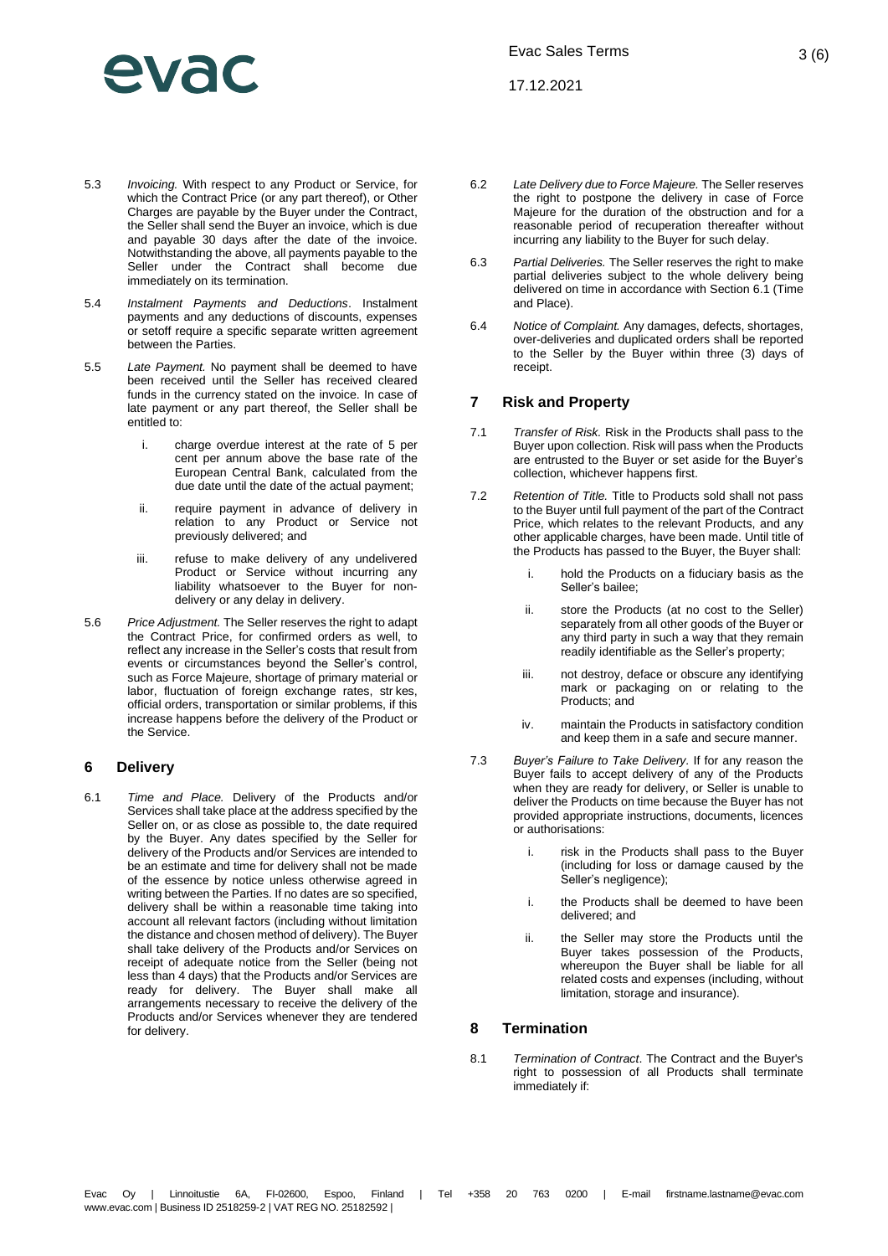# Wac

17.12.2021

3 (6)

- 5.3 *Invoicing.* With respect to any Product or Service, for which the Contract Price (or any part thereof), or Other Charges are payable by the Buyer under the Contract, the Seller shall send the Buyer an invoice, which is due and payable 30 days after the date of the invoice. Notwithstanding the above, all payments payable to the Seller under the Contract shall become due immediately on its termination.
- 5.4 *Instalment Payments and Deductions*. Instalment payments and any deductions of discounts, expenses or setoff require a specific separate written agreement between the Parties.
- 5.5 *Late Payment.* No payment shall be deemed to have been received until the Seller has received cleared funds in the currency stated on the invoice. In case of late payment or any part thereof, the Seller shall be entitled to:
	- i. charge overdue interest at the rate of 5 per cent per annum above the base rate of the European Central Bank, calculated from the due date until the date of the actual payment;
	- ii. require payment in advance of delivery in relation to any Product or Service not previously delivered; and
	- iii. refuse to make delivery of any undelivered Product or Service without incurring any liability whatsoever to the Buyer for nondelivery or any delay in delivery.
- 5.6 *Price Adjustment.* The Seller reserves the right to adapt the Contract Price, for confirmed orders as well, to reflect any increase in the Seller's costs that result from events or circumstances beyond the Seller's control, such as Force Majeure, shortage of primary material or labor, fluctuation of foreign exchange rates, str kes, official orders, transportation or similar problems, if this increase happens before the delivery of the Product or the Service.

### **6 Delivery**

<span id="page-2-0"></span>6.1 *Time and Place.* Delivery of the Products and/or Services shall take place at the address specified by the Seller on, or as close as possible to, the date required by the Buyer. Any dates specified by the Seller for delivery of the Products and/or Services are intended to be an estimate and time for delivery shall not be made of the essence by notice unless otherwise agreed in writing between the Parties. If no dates are so specified, delivery shall be within a reasonable time taking into account all relevant factors (including without limitation the distance and chosen method of delivery). The Buyer shall take delivery of the Products and/or Services on receipt of adequate notice from the Seller (being not less than 4 days) that the Products and/or Services are ready for delivery. The Buyer shall make all arrangements necessary to receive the delivery of the Products and/or Services whenever they are tendered for delivery.

- 6.2 *Late Delivery due to Force Majeure.* The Seller reserves the right to postpone the delivery in case of Force Majeure for the duration of the obstruction and for a reasonable period of recuperation thereafter without incurring any liability to the Buyer for such delay.
- 6.3 *Partial Deliveries.* The Seller reserves the right to make partial deliveries subject to the whole delivery being delivered on time in accordance with Section [6.1](#page-2-0) (Time and Place).
- 6.4 *Notice of Complaint.* Any damages, defects, shortages, over-deliveries and duplicated orders shall be reported to the Seller by the Buyer within three (3) days of receipt.

### **7 Risk and Property**

- 7.1 *Transfer of Risk.* Risk in the Products shall pass to the Buyer upon collection. Risk will pass when the Products are entrusted to the Buyer or set aside for the Buyer's collection, whichever happens first.
- 7.2 *Retention of Title.* Title to Products sold shall not pass to the Buyer until full payment of the part of the Contract Price, which relates to the relevant Products, and any other applicable charges, have been made. Until title of the Products has passed to the Buyer, the Buyer shall:
	- i. hold the Products on a fiduciary basis as the Seller's bailee;
	- ii. store the Products (at no cost to the Seller) separately from all other goods of the Buyer or any third party in such a way that they remain readily identifiable as the Seller's property;
	- iii. not destroy, deface or obscure any identifying mark or packaging on or relating to the Products; and
	- iv. maintain the Products in satisfactory condition and keep them in a safe and secure manner.
- 7.3 *Buyer's Failure to Take Delivery.* If for any reason the Buyer fails to accept delivery of any of the Products when they are ready for delivery, or Seller is unable to deliver the Products on time because the Buyer has not provided appropriate instructions, documents, licences or authorisations:
	- i. risk in the Products shall pass to the Buyer (including for loss or damage caused by the Seller's negligence);
	- i. the Products shall be deemed to have been delivered; and
	- ii. the Seller may store the Products until the Buyer takes possession of the Products, whereupon the Buyer shall be liable for all related costs and expenses (including, without limitation, storage and insurance).

### **8 Termination**

<span id="page-2-1"></span>8.1 *Termination of Contract*. The Contract and the Buyer's right to possession of all Products shall terminate immediately if: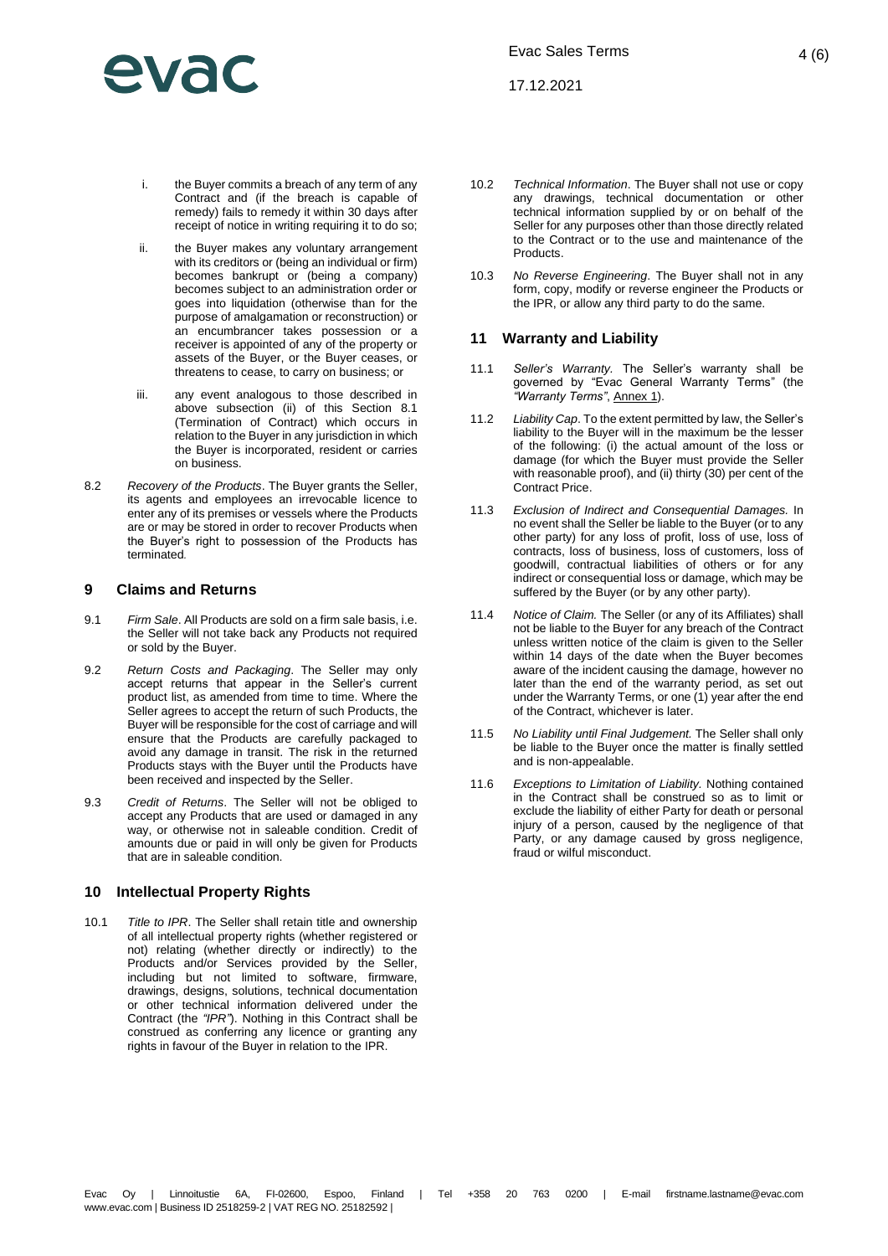## PVA

17.12.2021

- i. the Buyer commits a breach of any term of any Contract and (if the breach is capable of remedy) fails to remedy it within 30 days after receipt of notice in writing requiring it to do so;
- <span id="page-3-2"></span>ii. the Buyer makes any voluntary arrangement with its creditors or (being an individual or firm) becomes bankrupt or (being a company) becomes subject to an administration order or goes into liquidation (otherwise than for the purpose of amalgamation or reconstruction) or an encumbrancer takes possession or a receiver is appointed of any of the property or assets of the Buyer, or the Buyer ceases, or threatens to cease, to carry on business; or
- iii. any event analogous to those described in above subsection [\(ii\)](#page-3-2) of this Section [8.1](#page-2-1) (Termination of Contract) which occurs in relation to the Buyer in any jurisdiction in which the Buyer is incorporated, resident or carries on business.
- 8.2 *Recovery of the Products*. The Buyer grants the Seller, its agents and employees an irrevocable licence to enter any of its premises or vessels where the Products are or may be stored in order to recover Products when the Buyer's right to possession of the Products has terminated*.*

### **9 Claims and Returns**

- 9.1 *Firm Sale*. All Products are sold on a firm sale basis, i.e. the Seller will not take back any Products not required or sold by the Buyer.
- 9.2 *Return Costs and Packaging*. The Seller may only accept returns that appear in the Seller's current product list, as amended from time to time. Where the Seller agrees to accept the return of such Products, the Buyer will be responsible for the cost of carriage and will ensure that the Products are carefully packaged to avoid any damage in transit. The risk in the returned Products stays with the Buyer until the Products have been received and inspected by the Seller.
- 9.3 *Credit of Returns*. The Seller will not be obliged to accept any Products that are used or damaged in any way, or otherwise not in saleable condition. Credit of amounts due or paid in will only be given for Products that are in saleable condition.

### **10 Intellectual Property Rights**

<span id="page-3-0"></span>10.1 *Title to IPR*. The Seller shall retain title and ownership of all intellectual property rights (whether registered or not) relating (whether directly or indirectly) to the Products and/or Services provided by the Seller, including but not limited to software, firmware, drawings, designs, solutions, technical documentation or other technical information delivered under the Contract (the *"IPR"*). Nothing in this Contract shall be construed as conferring any licence or granting any rights in favour of the Buyer in relation to the IPR.

- 10.2 *Technical Information*. The Buyer shall not use or copy any drawings, technical documentation or other technical information supplied by or on behalf of the Seller for any purposes other than those directly related to the Contract or to the use and maintenance of the **Products**
- 10.3 *No Reverse Engineering*. The Buyer shall not in any form, copy, modify or reverse engineer the Products or the IPR, or allow any third party to do the same.

### **11 Warranty and Liability**

- <span id="page-3-1"></span>11.1 *Seller's Warranty.* The Seller's warranty shall be governed by "Evac General Warranty Terms" (the *"Warranty Terms"*, Annex 1).
- 11.2 *Liability Cap*. To the extent permitted by law, the Seller's liability to the Buyer will in the maximum be the lesser of the following: (i) the actual amount of the loss or damage (for which the Buyer must provide the Seller with reasonable proof), and (ii) thirty (30) per cent of the Contract Price.
- 11.3 *Exclusion of Indirect and Consequential Damages.* In no event shall the Seller be liable to the Buyer (or to any other party) for any loss of profit, loss of use, loss of contracts, loss of business, loss of customers, loss of goodwill, contractual liabilities of others or for any indirect or consequential loss or damage, which may be suffered by the Buyer (or by any other party).
- 11.4 *Notice of Claim.* The Seller (or any of its Affiliates) shall not be liable to the Buyer for any breach of the Contract unless written notice of the claim is given to the Seller within 14 days of the date when the Buyer becomes aware of the incident causing the damage, however no later than the end of the warranty period, as set out under the Warranty Terms, or one (1) year after the end of the Contract, whichever is later.
- 11.5 *No Liability until Final Judgement.* The Seller shall only be liable to the Buyer once the matter is finally settled and is non-appealable.
- 11.6 *Exceptions to Limitation of Liability.* Nothing contained in the Contract shall be construed so as to limit or exclude the liability of either Party for death or personal injury of a person, caused by the negligence of that Party, or any damage caused by gross negligence, fraud or wilful misconduct.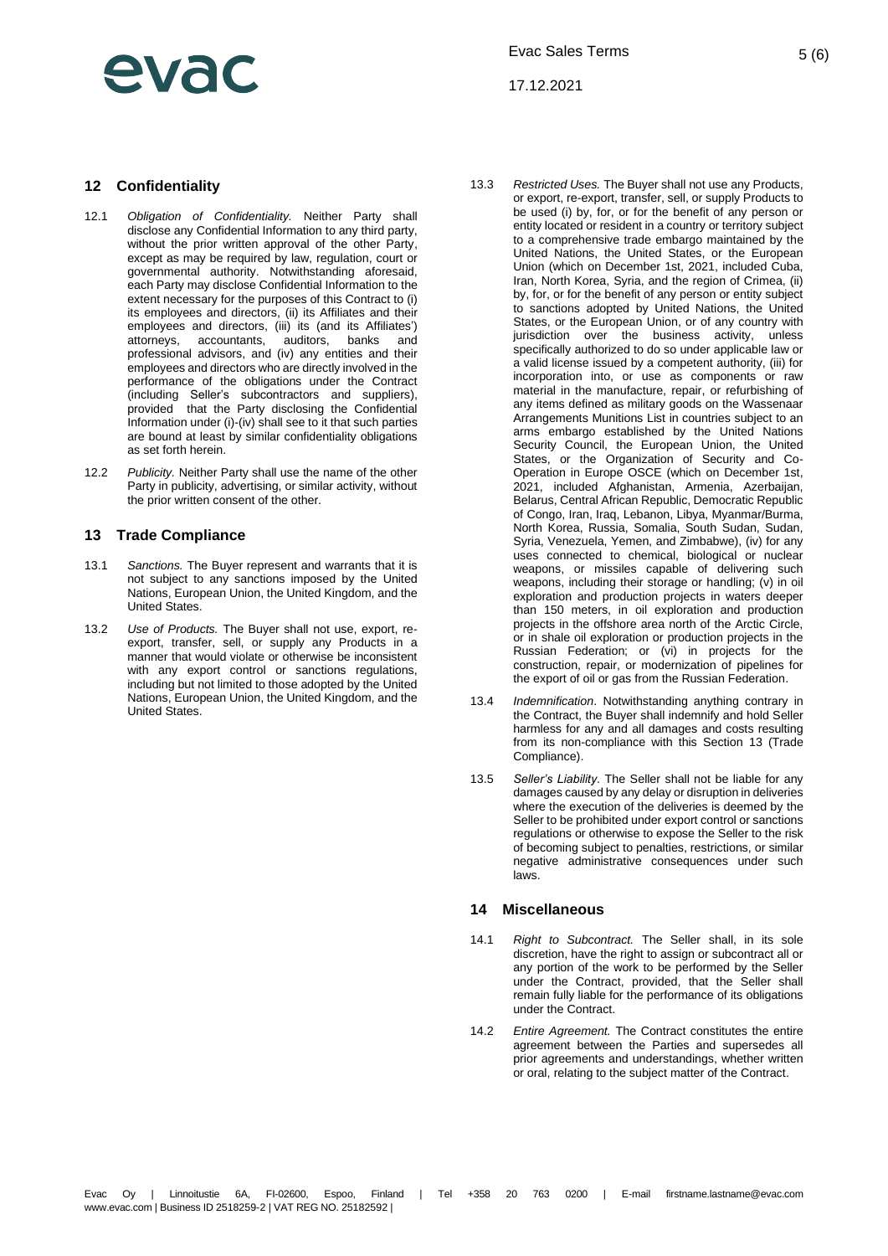## evar

17.12.2021

### **12 Confidentiality**

- 12.1 *Obligation of Confidentiality.* Neither Party shall disclose any Confidential Information to any third party, without the prior written approval of the other Party, except as may be required by law, regulation, court or governmental authority. Notwithstanding aforesaid, each Party may disclose Confidential Information to the extent necessary for the purposes of this Contract to (i) its employees and directors, (ii) its Affiliates and their employees and directors, (iii) its (and its Affiliates')<br>attorneys. accountants. auditors. banks and attorneys, accountants, auditors, banks and professional advisors, and (iv) any entities and their employees and directors who are directly involved in the performance of the obligations under the Contract (including Seller's subcontractors and suppliers), provided that the Party disclosing the Confidential Information under (i)-(iv) shall see to it that such parties are bound at least by similar confidentiality obligations as set forth herein.
- 12.2 *Publicity.* Neither Party shall use the name of the other Party in publicity, advertising, or similar activity, without the prior written consent of the other.

### <span id="page-4-0"></span>**13 Trade Compliance**

- 13.1 *Sanctions.* The Buyer represent and warrants that it is not subject to any sanctions imposed by the United Nations, European Union, the United Kingdom, and the United States.
- 13.2 *Use of Products.* The Buyer shall not use, export, reexport, transfer, sell, or supply any Products in a manner that would violate or otherwise be inconsistent with any export control or sanctions regulations, including but not limited to those adopted by the United Nations, European Union, the United Kingdom, and the United States.
- 13.3 *Restricted Uses.* The Buyer shall not use any Products, or export, re-export, transfer, sell, or supply Products to be used (i) by, for, or for the benefit of any person or entity located or resident in a country or territory subject to a comprehensive trade embargo maintained by the United Nations, the United States, or the European Union (which on December 1st, 2021, included Cuba, Iran, North Korea, Syria, and the region of Crimea, (ii) by, for, or for the benefit of any person or entity subject to sanctions adopted by United Nations, the United States, or the European Union, or of any country with jurisdiction over the business activity, unless specifically authorized to do so under applicable law or a valid license issued by a competent authority, (iii) for incorporation into, or use as components or raw material in the manufacture, repair, or refurbishing of any items defined as military goods on the Wassenaar Arrangements Munitions List in countries subject to an arms embargo established by the United Nations Security Council, the European Union, the United States, or the Organization of Security and Co-Operation in Europe OSCE (which on December 1st, 2021, included Afghanistan, Armenia, Azerbaijan, Belarus, Central African Republic, Democratic Republic of Congo, Iran, Iraq, Lebanon, Libya, Myanmar/Burma, North Korea, Russia, Somalia, South Sudan, Sudan, Syria, Venezuela, Yemen, and Zimbabwe), (iv) for any uses connected to chemical, biological or nuclear weapons, or missiles capable of delivering such weapons, including their storage or handling;  $(v)$  in oil exploration and production projects in waters deeper than 150 meters, in oil exploration and production projects in the offshore area north of the Arctic Circle, or in shale oil exploration or production projects in the Russian Federation; or (vi) in projects for the construction, repair, or modernization of pipelines for the export of oil or gas from the Russian Federation.
- 13.4 *Indemnification*. Notwithstanding anything contrary in the Contract, the Buyer shall indemnify and hold Seller harmless for any and all damages and costs resulting from its non-compliance with this Section [13](#page-4-0) (Trade Compliance).
- 13.5 *Seller's Liability*. The Seller shall not be liable for any damages caused by any delay or disruption in deliveries where the execution of the deliveries is deemed by the Seller to be prohibited under export control or sanctions regulations or otherwise to expose the Seller to the risk of becoming subject to penalties, restrictions, or similar negative administrative consequences under such laws.

### **14 Miscellaneous**

- 14.1 *Right to Subcontract.* The Seller shall, in its sole discretion, have the right to assign or subcontract all or any portion of the work to be performed by the Seller under the Contract, provided, that the Seller shall remain fully liable for the performance of its obligations under the Contract.
- 14.2 *Entire Agreement.* The Contract constitutes the entire agreement between the Parties and supersedes all prior agreements and understandings, whether written or oral, relating to the subject matter of the Contract.